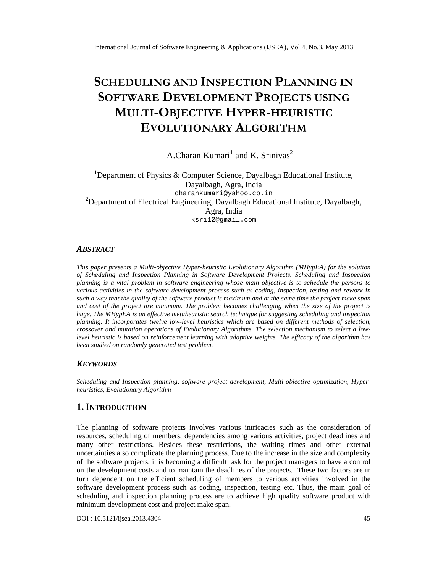# $\Im$ CHEDULING ANN SOPECTION ANNING IN SOFTWARDE VELOPMERRTOJECTS USING MULTHOBJECTIVHEYPERHEURISTIC EVOLUTION ARC ORITHM

# A.Charan KumałiandK. Srinivas

<sup>1</sup>Department oPhysics & Computer Sciend Bayalbagh Educational Institute, Dayalbagh, Aga, India [charankumari@yahoo.co.in](mailto:charankumari@yahoo.co) <sup>2</sup>Department of Electrical Engineering, Dayalbagh Educational Institute, Dayalbagh, Agra, India [ksri12@gmail.com](mailto:ksri12@gmail.com)

## ABSTRACT

This paper presets a Multi-objective Hyperheuristic Evolutionary Algorithm (MHypEA) for the solution of Scheduling and Inspection Planning in Software Development Projects. Scheduling and Inspection planning is a vital problem in software engineering whose main objective schedule the persons to various activities in the software development process such as coding, inspection, testing and rework in such a way that the quality of the software product is maximum and at the same time the project make span and cost of the project are minimum. The problem becomes challenging when the size of the project is huge. The MHypEA is an effective metaheuristic search technique for suggesting scheduling and inspection planning. It incorporates twelve lowevel heuristics which areased on different methods of selection, crossover and mutation operations Extolutionary Algorithms. The selection mechanism to select a low level heuristic is based on reinforcement learning with adaptive weights. The efficacy of the algorithm has beenstudied on randomly generated test problem.

## **KEYWORDS**

Scheduling and Inspection planning, software project development, dibiditive optimization, Hyper heuristics,EvolutionaryAlgorithm

## 1.I NTRODUCTION

The planning of software projects involvearious intricacies such as the consideration of resources, scheduling of members, dependencies among various activities, project deadlines and many other restrictions. Besides these restrictions, the waiting times and other external uncertainties also coplicate the planning process. Due to the increase in the size and complexity of the software projects, it is becoming a difficult task for the project managers to have a control on the development costs and to maintain the deadlines of the projects two factors are in turn dependent on the efficient scheduling of members to various activities involved in the software development process such as coding, inspection, testing etc. Thus, the main goal of scheduling and inspection planning process are to be high quality software product with minimum development cost and project make span.

DOI : 10.5121/ijsea.2013.4304 45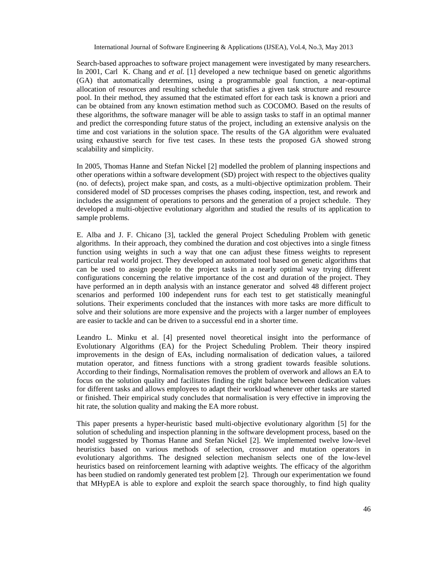Search-based approaches to software project management were investigated by many researchers. In 2001, Carl K. Chang and *et al.* [1] developed a new technique based on genetic algorithms (GA) that automatically determines, using a programmable goal function, a near-optimal allocation of resources and resulting schedule that satisfies a given task structure and resource pool. In their method, they assumed that the estimated effort for each task is known a priori and can be obtained from any known estimation method such as COCOMO. Based on the results of these algorithms, the software manager will be able to assign tasks to staff in an optimal manner and predict the corresponding future status of the project, including an extensive analysis on the time and cost variations in the solution space. The results of the GA algorithm were evaluated using exhaustive search for five test cases. In these tests the proposed GA showed strong scalability and simplicity.

In 2005, Thomas Hanne and Stefan Nickel [2] modelled the problem of planning inspections and other operations within a software development (SD) project with respect to the objectives quality (no. of defects), project make span, and costs, as a multi-objective optimization problem. Their considered model of SD processes comprises the phases coding, inspection, test, and rework and includes the assignment of operations to persons and the generation of a project schedule. They developed a multi-objective evolutionary algorithm and studied the results of its application to sample problems.

E. Alba and J. F. Chicano [3], tackled the general Project Scheduling Problem with genetic algorithms. In their approach, they combined the duration and cost objectives into a single fitness function using weights in such a way that one can adjust these fitness weights to represent particular real world project. They developed an automated tool based on genetic algorithms that can be used to assign people to the project tasks in a nearly optimal way trying different configurations concerning the relative importance of the cost and duration of the project. They have performed an in depth analysis with an instance generator and solved 48 different project scenarios and performed 100 independent runs for each test to get statistically meaningful solutions. Their experiments concluded that the instances with more tasks are more difficult to solve and their solutions are more expensive and the projects with a larger number of employees are easier to tackle and can be driven to a successful end in a shorter time.

Leandro L. Minku et al. [4] presented novel theoretical insight into the performance of Evolutionary Algorithms (EA) for the Project Scheduling Problem. Their theory inspired improvements in the design of EAs, including normalisation of dedication values, a tailored mutation operator, and fitness functions with a strong gradient towards feasible solutions. According to their findings, Normalisation removes the problem of overwork and allows an EA to focus on the solution quality and facilitates finding the right balance between dedication values for different tasks and allows employees to adapt their workload whenever other tasks are started or finished. Their empirical study concludes that normalisation is very effective in improving the hit rate, the solution quality and making the EA more robust.

This paper presents a hyper-heuristic based multi-objective evolutionary algorithm [5] for the solution of scheduling and inspection planning in the software development process, based on the model suggested by Thomas Hanne and Stefan Nickel [2]. We implemented twelve low-level heuristics based on various methods of selection, crossover and mutation operators in evolutionary algorithms. The designed selection mechanism selects one of the low-level heuristics based on reinforcement learning with adaptive weights. The efficacy of the algorithm has been studied on randomly generated test problem [2]. Through our experimentation we found that MHypEA is able to explore and exploit the search space thoroughly, to find high quality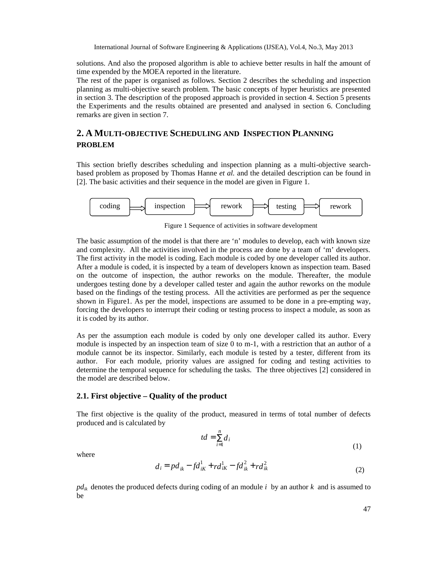solutions. And also the proposed algorithm is able to achieve better results in half the amount of time expended by the MOEA reported in the literature.

The rest of the paper is organised as follows. Section 2 describes the scheduling and inspection planning as multi-objective search problem. The basic concepts of hyper heuristics are presented in section 3. The description of the proposed approach is provided in section 4. Section 5 presents the Experiments and the results obtained are presented and analysed in section 6. Concluding remarks are given in section 7.

# **2. A MULTI-OBJECTIVE SCHEDULING AND INSPECTION PLANNING PROBLEM**

This section briefly describes scheduling and inspection planning as a multi-objective searchbased problem as proposed by Thomas Hanne *et al.* and the detailed description can be found in [2]. The basic activities and their sequence in the model are given in Figure 1.



Figure 1 Sequence of activities in software development

The basic assumption of the model is that there are 'n' modules to develop, each with known size and complexity. All the activities involved in the process are done by a team of 'm' developers. The first activity in the model is coding. Each module is coded by one developer called its author. After a module is coded, it is inspected by a team of developers known as inspection team. Based on the outcome of inspection, the author reworks on the module. Thereafter, the module undergoes testing done by a developer called tester and again the author reworks on the module based on the findings of the testing process. All the activities are performed as per the sequence shown in Figure1. As per the model, inspections are assumed to be done in a pre-empting way, forcing the developers to interrupt their coding or testing process to inspect a module, as soon as it is coded by its author.

As per the assumption each module is coded by only one developer called its author. Every module is inspected by an inspection team of size 0 to m-1, with a restriction that an author of a module cannot be its inspector. Similarly, each module is tested by a tester, different from its author. For each module, priority values are assigned for coding and testing activities to determine the temporal sequence for scheduling the tasks. The three objectives [2] considered in the model are described below.

#### **2.1. First objective – Quality of the product**

The first objective is the quality of the product, measured in terms of total number of defects produced and is calculated by

$$
td = \sum_{i=1}^{n} d_i \tag{1}
$$

where

$$
d_i = pd_{ik} - fd_{ik}^1 + rd_{ik}^1 - fd_{ik}^2 + rd_{ik}^2
$$
 (2)

*pdik* denotes the produced defects during coding of an module *i* by an author *k* and is assumed to be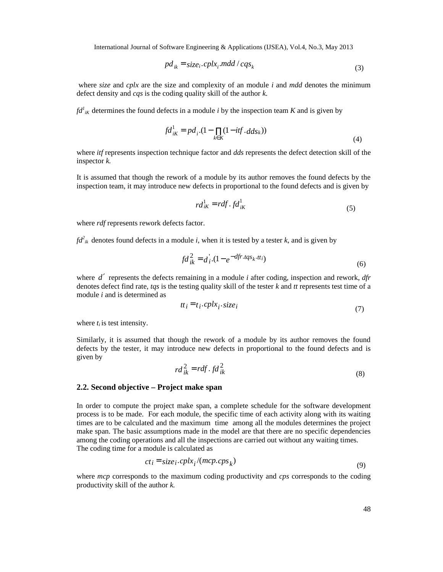$$
pd_{ik} = size_i.cplx_i.mdd / cqs_k
$$
\n(3)

where *size* and *cplx* are the size and complexity of an module *i* and *mdd* denotes the minimum defect density and *cqs* is the coding quality skill of the author *k*.

 $fd$ <sup>*i*</sup><sub>iK</sub> determines the found defects in a module *i* by the inspection team *K* and is given by

$$
fd_{iK}^{1} = pd_{i}.(1 - \prod_{k \in K} (1 - itf. dds_{k}))
$$
\n(4)

where *itf* represents inspection technique factor and *dds* represents the defect detection skill of the inspector *k.*

It is assumed that though the rework of a module by its author removes the found defects by the inspection team, it may introduce new defects in proportional to the found defects and is given by

$$
rd_{iK}^{1} = rdf \cdot fd_{iK}^{1}
$$
 (5)

where *rdf* represents rework defects factor.

 $fd^2_{ik}$  denotes found defects in a module *i*, when it is tested by a tester *k*, and is given by

$$
fd_{ik}^{2} = d_{i}.(1 - e^{-dfr.tqs_{k}.tt_{i}})
$$
\n(6)

where *d'* represents the defects remaining in a module *i* after coding, inspection and rework, *dfr* denotes defect find rate, *tqs* is the testing quality skill of the tester *k* and *tt* represents test time of a module *i* and is determined as

$$
tt_i = t_i.cplx_i.size_i
$$
\n<sup>(7)</sup>

where  $t_i$  is test intensity.

Similarly, it is assumed that though the rework of a module by its author removes the found defects by the tester, it may introduce new defects in proportional to the found defects and is given by

$$
rd_{ik}^2 = rdf \cdot fd_{ik}^2 \tag{8}
$$

#### **2.2. Second objective – Project make span**

In order to compute the project make span, a complete schedule for the software development process is to be made. For each module, the specific time of each activity along with its waiting times are to be calculated and the maximum time among all the modules determines the project make span. The basic assumptions made in the model are that there are no specific dependencies among the coding operations and all the inspections are carried out without any waiting times. The coding time for a module is calculated as

$$
ct_i = size_i.cplx_i/(mcp.cps_k)
$$
\n(9)

where *mcp* corresponds to the maximum coding productivity and *cps* corresponds to the coding productivity skill of the author *k.*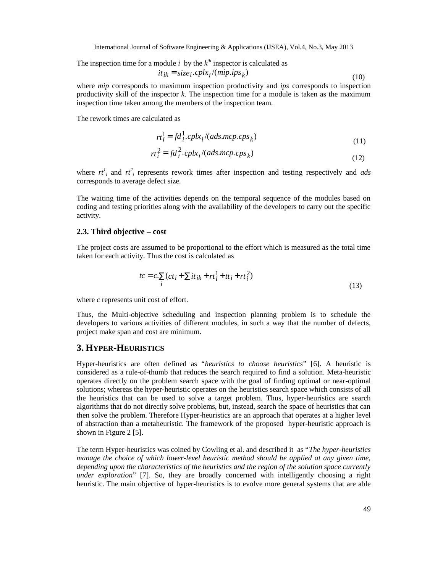The inspection time for a module  $i$  by the  $k^{th}$  inspector is calculated as

$$
it_{ik} = size_i.cplx_i/(mip.ips_k)
$$
\n(10)

where *mip* corresponds to maximum inspection productivity and *ips* corresponds to inspection productivity skill of the inspector *k*. The inspection time for a module is taken as the maximum inspection time taken among the members of the inspection team.

The rework times are calculated as

$$
rt_i^1 = f d_i^1.cplx_i/(ads.mcp.cps_k)
$$
\n(11)

$$
rt_i^2 = fd_i^2.cplx_i/(ads.mcp.cps_k)
$$
\n(12)

where  $rt_i^l$  and  $rt_i^2$  represents rework times after inspection and testing respectively and *ads* corresponds to average defect size.

The waiting time of the activities depends on the temporal sequence of the modules based on coding and testing priorities along with the availability of the developers to carry out the specific activity.

#### **2.3. Third objective – cost**

The project costs are assumed to be proportional to the effort which is measured as the total time taken for each activity. Thus the cost is calculated as

$$
tc = c \cdot \sum_{i} (ct_i + \sum_{i} it_{ik} + rt_i^1 + tt_i + rt_i^2)
$$
\n(13)

where *c* represents unit cost of effort.

Thus, the Multi-objective scheduling and inspection planning problem is to schedule the developers to various activities of different modules, in such a way that the number of defects, project make span and cost are minimum.

### **3. HYPER-HEURISTICS**

Hyper-heuristics are often defined as "*heuristics to choose heuristics*" [6]. A heuristic is considered as a rule-of-thumb that reduces the search required to find a solution. Meta-heuristic operates directly on the problem search space with the goal of finding optimal or near-optimal solutions; whereas the hyper-heuristic operates on the heuristics search space which consists of all the heuristics that can be used to solve a target problem. Thus, hyper-heuristics are search algorithms that do not directly solve problems, but, instead, search the space of heuristics that can then solve the problem. Therefore Hyper-heuristics are an approach that operates at a higher level of abstraction than a metaheuristic. The framework of the proposed hyper-heuristic approach is shown in Figure 2 [5].

The term Hyper-heuristics was coined by Cowling et al. and described it as "*The hyper-heuristics manage the choice of which lower-level heuristic method should be applied at any given time, depending upon the characteristics of the heuristics and the region of the solution space currently under exploration*" [7]. So, they are broadly concerned with intelligently choosing a right heuristic. The main objective of hyper-heuristics is to evolve more general systems that are able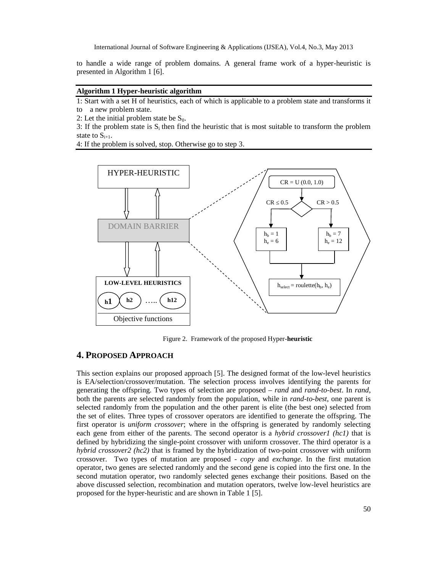to handle a wide range of problem domains. A general frame work of a hyper-heuristic is presented in Algorithm 1 [6].

#### **Algorithm 1 Hyper-heuristic algorithm**

1: Start with a set H of heuristics, each of which is applicable to a problem state and transforms it to a new problem state.

2: Let the initial problem state be  $S_0$ .

3: If the problem state is  $S_i$  then find the heuristic that is most suitable to transform the problem state to  $S_{i+1}$ .

4: If the problem is solved, stop. Otherwise go to step 3.



Figure 2. Framework of the proposed Hyper-**heuristic**

## **4. PROPOSED APPROACH**

This section explains our proposed approach [5]. The designed format of the low-level heuristics is EA/selection/crossover/mutation. The selection process involves identifying the parents for generating the offspring. Two types of selection are proposed – *rand* and *rand-to-best*. In *rand*, both the parents are selected randomly from the population, while in *rand-to-best*, one parent is selected randomly from the population and the other parent is elite (the best one) selected from the set of elites. Three types of crossover operators are identified to generate the offspring. The first operator is *uniform crossover*; where in the offspring is generated by randomly selecting each gene from either of the parents. The second operator is a *hybrid crossover1 (hc1)* that is defined by hybridizing the single-point crossover with uniform crossover. The third operator is a *hybrid crossover2 (hc2)* that is framed by the hybridization of two-point crossover with uniform crossover. Two types of mutation are proposed - *copy* and *exchange*. In the first mutation operator, two genes are selected randomly and the second gene is copied into the first one. In the second mutation operator, two randomly selected genes exchange their positions. Based on the above discussed selection, recombination and mutation operators, twelve low-level heuristics are proposed for the hyper-heuristic and are shown in Table 1 [5].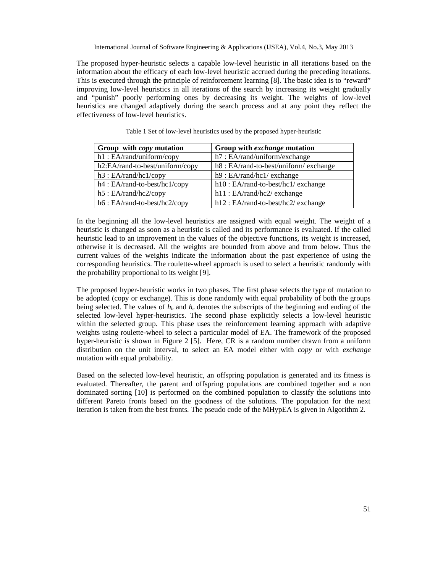The proposed hyper-heuristic selects a capable low-level heuristic in all iterations based on the information about the efficacy of each low-level heuristic accrued during the preceding iterations. This is executed through the principle of reinforcement learning [8]. The basic idea is to "reward" improving low-level heuristics in all iterations of the search by increasing its weight gradually and "punish" poorly performing ones by decreasing its weight. The weights of low-level heuristics are changed adaptively during the search process and at any point they reflect the effectiveness of low-level heuristics.

| Group with <i>copy</i> mutation | Group with exchange mutation           |
|---------------------------------|----------------------------------------|
| h1: EA/rand/uniform/copy        | h7: EA/rand/uniform/exchange           |
| h2:EA/rand-to-best/uniform/copy | h8 : EA/rand-to-best/uniform/ exchange |
| h3 : EA/rand/hc1/copy           | h9 : EA/rand/hc1/ exchange             |
| h4 : EA/rand-to-best/hc1/copy   | h10 : EA/rand-to-best/hc1/ exchange    |
| h5 : EA/rand/hc2/copy           | h11 : EA/rand/hc2/ exchange            |
| h6 : EA/rand-to-best/hc2/copy   | h12 : EA/rand-to-best/hc2/ exchange    |

Table 1 Set of low-level heuristics used by the proposed hyper-heuristic

In the beginning all the low-level heuristics are assigned with equal weight. The weight of a heuristic is changed as soon as a heuristic is called and its performance is evaluated. If the called heuristic lead to an improvement in the values of the objective functions, its weight is increased, otherwise it is decreased. All the weights are bounded from above and from below. Thus the current values of the weights indicate the information about the past experience of using the corresponding heuristics. The roulette-wheel approach is used to select a heuristic randomly with the probability proportional to its weight [9].

The proposed hyper-heuristic works in two phases. The first phase selects the type of mutation to be adopted (copy or exchange). This is done randomly with equal probability of both the groups being selected. The values of  $h_b$  and  $h_e$  denotes the subscripts of the beginning and ending of the selected low-level hyper-heuristics. The second phase explicitly selects a low-level heuristic within the selected group. This phase uses the reinforcement learning approach with adaptive weights using roulette-wheel to select a particular model of EA. The framework of the proposed hyper-heuristic is shown in Figure 2 [5]. Here, CR is a random number drawn from a uniform distribution on the unit interval, to select an EA model either with *copy* or with *exchange* mutation with equal probability.

Based on the selected low-level heuristic, an offspring population is generated and its fitness is evaluated. Thereafter, the parent and offspring populations are combined together and a non dominated sorting [10] is performed on the combined population to classify the solutions into different Pareto fronts based on the goodness of the solutions. The population for the next iteration is taken from the best fronts. The pseudo code of the MHypEA is given in Algorithm 2.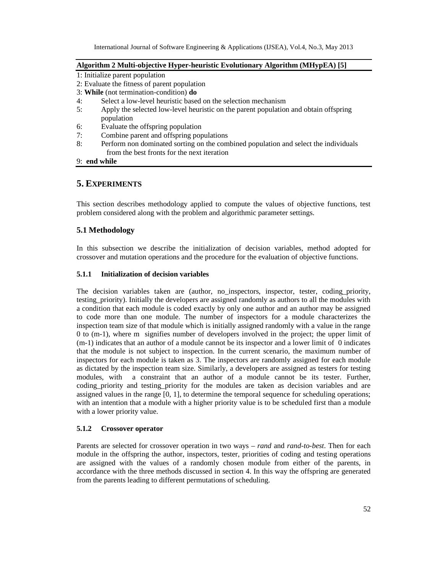#### **Algorithm 2 Multi-objective Hyper-heuristic Evolutionary Algorithm (MHypEA) [5]**

- 1: Initialize parent population
- 2: Evaluate the fitness of parent population
- 3: **While** (not termination-condition) **do**
- 4: Select a low-level heuristic based on the selection mechanism
- 5: Apply the selected low-level heuristic on the parent population and obtain offspring population
- 6: Evaluate the offspring population
- 7: Combine parent and offspring populations
- 8: Perform non dominated sorting on the combined population and select the individuals from the best fronts for the next iteration
- 9: **end while**

## **5. EXPERIMENTS**

This section describes methodology applied to compute the values of objective functions, test problem considered along with the problem and algorithmic parameter settings.

## **5.1 Methodology**

In this subsection we describe the initialization of decision variables, method adopted for crossover and mutation operations and the procedure for the evaluation of objective functions.

#### **5.1.1 Initialization of decision variables**

The decision variables taken are (author, no inspectors, inspector, tester, coding priority, testing\_priority). Initially the developers are assigned randomly as authors to all the modules with a condition that each module is coded exactly by only one author and an author may be assigned to code more than one module. The number of inspectors for a module characterizes the inspection team size of that module which is initially assigned randomly with a value in the range 0 to (m-1), where m signifies number of developers involved in the project; the upper limit of (m-1) indicates that an author of a module cannot be its inspector and a lower limit of 0 indicates that the module is not subject to inspection. In the current scenario, the maximum number of inspectors for each module is taken as 3. The inspectors are randomly assigned for each module as dictated by the inspection team size. Similarly, a developers are assigned as testers for testing modules, with a constraint that an author of a module cannot be its tester. Further, coding\_priority and testing\_priority for the modules are taken as decision variables and are assigned values in the range [0, 1], to determine the temporal sequence for scheduling operations; with an intention that a module with a higher priority value is to be scheduled first than a module with a lower priority value.

#### **5.1.2 Crossover operator**

Parents are selected for crossover operation in two ways – *rand* and *rand-to-best*. Then for each module in the offspring the author, inspectors, tester, priorities of coding and testing operations are assigned with the values of a randomly chosen module from either of the parents, in accordance with the three methods discussed in section 4. In this way the offspring are generated from the parents leading to different permutations of scheduling.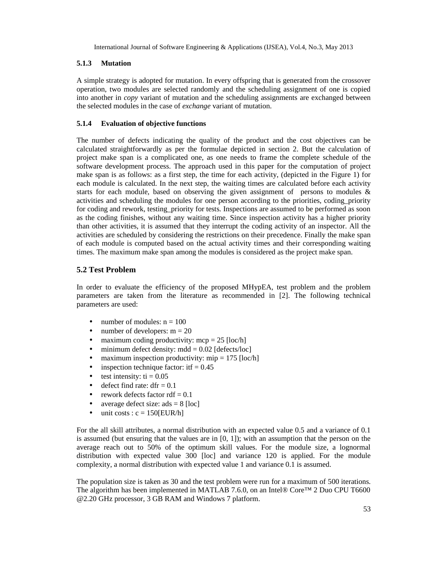#### **5.1.3 Mutation**

A simple strategy is adopted for mutation. In every offspring that is generated from the crossover operation, two modules are selected randomly and the scheduling assignment of one is copied into another in *copy* variant of mutation and the scheduling assignments are exchanged between the selected modules in the case of *exchange* variant of mutation.

### **5.1.4 Evaluation of objective functions**

The number of defects indicating the quality of the product and the cost objectives can be calculated straightforwardly as per the formulae depicted in section 2. But the calculation of project make span is a complicated one, as one needs to frame the complete schedule of the software development process. The approach used in this paper for the computation of project make span is as follows: as a first step, the time for each activity, (depicted in the Figure 1) for each module is calculated. In the next step, the waiting times are calculated before each activity starts for each module, based on observing the given assignment of persons to modules  $\&$ activities and scheduling the modules for one person according to the priorities, coding\_priority for coding and rework, testing\_priority for tests. Inspections are assumed to be performed as soon as the coding finishes, without any waiting time. Since inspection activity has a higher priority than other activities, it is assumed that they interrupt the coding activity of an inspector. All the activities are scheduled by considering the restrictions on their precedence. Finally the make span of each module is computed based on the actual activity times and their corresponding waiting times. The maximum make span among the modules is considered as the project make span.

## **5.2 Test Problem**

In order to evaluate the efficiency of the proposed MHypEA, test problem and the problem parameters are taken from the literature as recommended in [2]. The following technical parameters are used:

- number of modules:  $n = 100$
- number of developers:  $m = 20$
- maximum coding productivity: mcp =  $25$  [loc/h]
- minimum defect density:  $\text{mdd} = 0.02$  [defects/loc]
- maximum inspection productivity:  $mip = 175$  [loc/h]
- inspection technique factor: it $f = 0.45$
- test intensity:  $ti = 0.05$
- defect find rate:  $dfr = 0.1$
- rework defects factor  $\text{rdf} = 0.1$
- average defect size:  $ads = 8$  [loc]
- unit costs :  $c = 150$ [EUR/h]

For the all skill attributes, a normal distribution with an expected value 0.5 and a variance of 0.1 is assumed (but ensuring that the values are in  $[0, 1]$ ); with an assumption that the person on the average reach out to 50% of the optimum skill values. For the module size, a lognormal distribution with expected value 300 [loc] and variance 120 is applied. For the module complexity, a normal distribution with expected value 1 and variance 0.1 is assumed.

The population size is taken as 30 and the test problem were run for a maximum of 500 iterations. The algorithm has been implemented in MATLAB 7.6.0, on an Intel® Core™ 2 Duo CPU T6600 @2.20 GHz processor, 3 GB RAM and Windows 7 platform.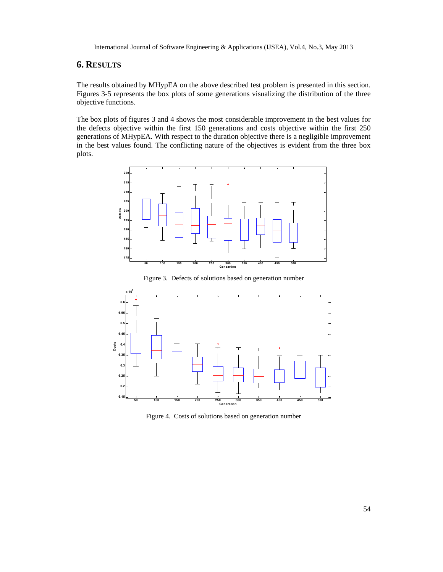# **6. RESULTS**

The results obtained by MHypEA on the above described test problem is presented in this section. Figures 3-5 represents the box plots of some generations visualizing the distribution of the three objective functions.

The box plots of figures 3 and 4 shows the most considerable improvement in the best values for the defects objective within the first 150 generations and costs objective within the first 250 generations of MHypEA. With respect to the duration objective there is a negligible improvement in the best values found. The conflicting nature of the objectives is evident from the three box plots.



Figure 3. Defects of solutions based on generation number



Figure 4. Costs of solutions based on generation number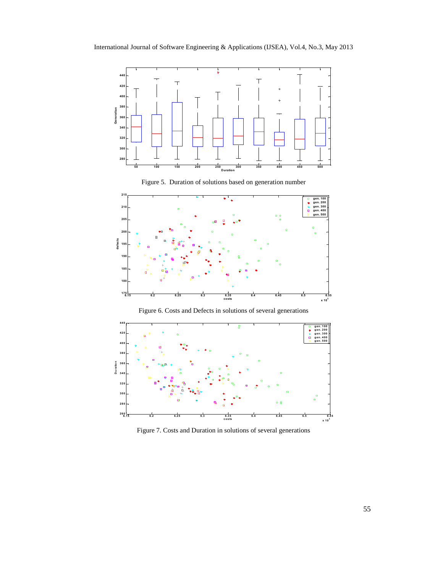

Figure 5. Duration of solutions based on generation number



Figure 6. Costs and Defects in solutions of several generations



Figure 7. Costs and Duration in solutions of several generations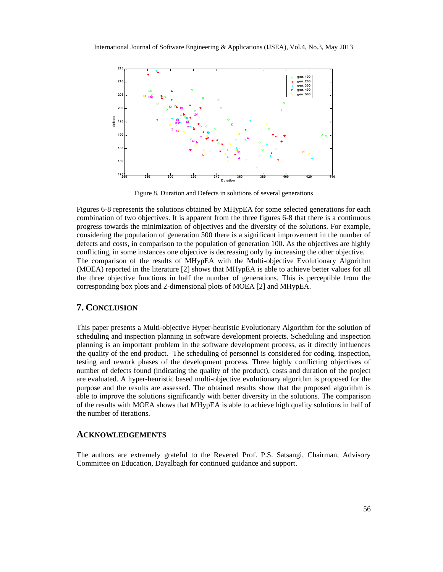

Figure 8. Duration and Defects in solutions of several generations

Figures 6-8 represents the solutions obtained by MHypEA for some selected generations for each combination of two objectives. It is apparent from the three figures 6-8 that there is a continuous progress towards the minimization of objectives and the diversity of the solutions. For example, considering the population of generation 500 there is a significant improvement in the number of defects and costs, in comparison to the population of generation 100. As the objectives are highly conflicting, in some instances one objective is decreasing only by increasing the other objective. The comparison of the results of MHypEA with the Multi-objective Evolutionary Algorithm (MOEA) reported in the literature [2] shows that MHypEA is able to achieve better values for all the three objective functions in half the number of generations. This is perceptible from the corresponding box plots and 2-dimensional plots of MOEA [2] and MHypEA.

## **7. CONCLUSION**

This paper presents a Multi-objective Hyper-heuristic Evolutionary Algorithm for the solution of scheduling and inspection planning in software development projects. Scheduling and inspection planning is an important problem in the software development process, as it directly influences the quality of the end product. The scheduling of personnel is considered for coding, inspection, testing and rework phases of the development process. Three highly conflicting objectives of number of defects found (indicating the quality of the product), costs and duration of the project are evaluated. A hyper-heuristic based multi-objective evolutionary algorithm is proposed for the purpose and the results are assessed. The obtained results show that the proposed algorithm is able to improve the solutions significantly with better diversity in the solutions. The comparison of the results with MOEA shows that MHypEA is able to achieve high quality solutions in half of the number of iterations.

#### **ACKNOWLEDGEMENTS**

The authors are extremely grateful to the Revered Prof. P.S. Satsangi, Chairman, Advisory Committee on Education, Dayalbagh for continued guidance and support.